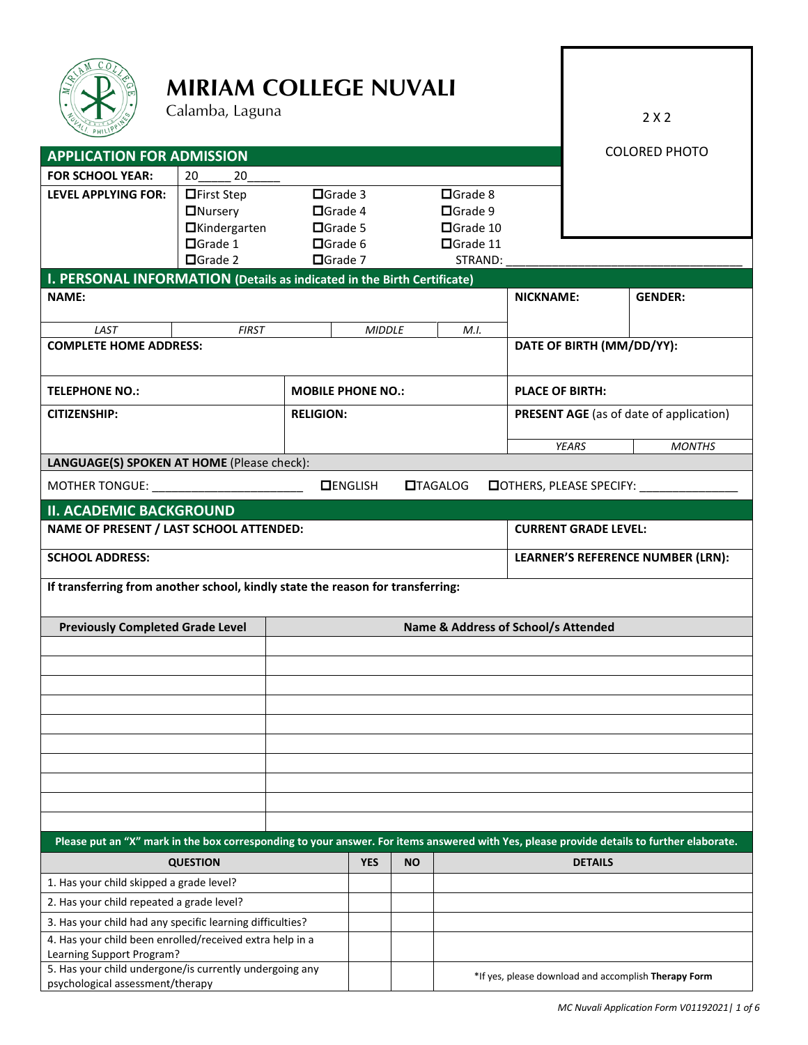

**FOR SCHOOL YEAR:** 20 20

# **MIRIAM COLLEGE NUVALI**

Calamba, Laguna

LEVEL APPLYING FOR: First Step Grade 3

5. Has your child undergone/is currently undergoing any

2 X 2

|                | <b>COLORED PHOTO</b> |
|----------------|----------------------|
|                |                      |
| $\Box$ Grade 8 |                      |
| $\Box$ Grade 9 |                      |

|                                                                                       | <b>ONursery</b>                                                                | □Grade 4         |                          |                 | □Grade 9                            |                                         |                                |                                                                                                                                           |  |
|---------------------------------------------------------------------------------------|--------------------------------------------------------------------------------|------------------|--------------------------|-----------------|-------------------------------------|-----------------------------------------|--------------------------------|-------------------------------------------------------------------------------------------------------------------------------------------|--|
|                                                                                       | <b>O</b> Kindergarten                                                          | □Grade 5         |                          |                 | □Grade 10                           |                                         |                                |                                                                                                                                           |  |
|                                                                                       | □Grade 1                                                                       | <b>O</b> Grade 6 |                          |                 | □Grade 11                           |                                         |                                |                                                                                                                                           |  |
|                                                                                       | □Grade 2                                                                       | □Grade 7         |                          |                 | STRAND:                             |                                         |                                |                                                                                                                                           |  |
| I. PERSONAL INFORMATION (Details as indicated in the Birth Certificate)               |                                                                                |                  |                          |                 |                                     |                                         |                                |                                                                                                                                           |  |
| <b>NAME:</b>                                                                          |                                                                                |                  |                          |                 |                                     | <b>NICKNAME:</b>                        |                                | <b>GENDER:</b>                                                                                                                            |  |
| LAST                                                                                  | <b>FIRST</b>                                                                   |                  | <b>MIDDLE</b>            |                 | M.I.                                |                                         |                                |                                                                                                                                           |  |
| <b>COMPLETE HOME ADDRESS:</b>                                                         |                                                                                |                  |                          |                 |                                     |                                         |                                | DATE OF BIRTH (MM/DD/YY):                                                                                                                 |  |
| <b>TELEPHONE NO.:</b>                                                                 |                                                                                |                  | <b>MOBILE PHONE NO.:</b> |                 |                                     |                                         | <b>PLACE OF BIRTH:</b>         |                                                                                                                                           |  |
| <b>CITIZENSHIP:</b>                                                                   |                                                                                | <b>RELIGION:</b> |                          |                 |                                     | PRESENT AGE (as of date of application) |                                |                                                                                                                                           |  |
|                                                                                       |                                                                                |                  |                          |                 |                                     |                                         | <b>YEARS</b>                   | <b>MONTHS</b>                                                                                                                             |  |
| LANGUAGE(S) SPOKEN AT HOME (Please check):                                            |                                                                                |                  |                          |                 |                                     |                                         |                                |                                                                                                                                           |  |
| MOTHER TONGUE: __________________________                                             |                                                                                | <b>DENGLISH</b>  |                          | <b>OTAGALOG</b> |                                     |                                         | <b>OTHERS, PLEASE SPECIFY:</b> |                                                                                                                                           |  |
| <b>II. ACADEMIC BACKGROUND</b>                                                        |                                                                                |                  |                          |                 |                                     |                                         |                                |                                                                                                                                           |  |
| NAME OF PRESENT / LAST SCHOOL ATTENDED:                                               |                                                                                |                  |                          |                 |                                     | <b>CURRENT GRADE LEVEL:</b>             |                                |                                                                                                                                           |  |
| <b>SCHOOL ADDRESS:</b>                                                                |                                                                                |                  |                          |                 |                                     | LEARNER'S REFERENCE NUMBER (LRN):       |                                |                                                                                                                                           |  |
|                                                                                       | If transferring from another school, kindly state the reason for transferring: |                  |                          |                 |                                     |                                         |                                |                                                                                                                                           |  |
| <b>Previously Completed Grade Level</b>                                               |                                                                                |                  |                          |                 | Name & Address of School/s Attended |                                         |                                |                                                                                                                                           |  |
|                                                                                       |                                                                                |                  |                          |                 |                                     |                                         |                                |                                                                                                                                           |  |
|                                                                                       |                                                                                |                  |                          |                 |                                     |                                         |                                |                                                                                                                                           |  |
|                                                                                       |                                                                                |                  |                          |                 |                                     |                                         |                                |                                                                                                                                           |  |
|                                                                                       |                                                                                |                  |                          |                 |                                     |                                         |                                |                                                                                                                                           |  |
|                                                                                       |                                                                                |                  |                          |                 |                                     |                                         |                                |                                                                                                                                           |  |
|                                                                                       |                                                                                |                  |                          |                 |                                     |                                         |                                |                                                                                                                                           |  |
|                                                                                       |                                                                                |                  |                          |                 |                                     |                                         |                                |                                                                                                                                           |  |
|                                                                                       |                                                                                |                  |                          |                 |                                     |                                         |                                |                                                                                                                                           |  |
|                                                                                       |                                                                                |                  |                          |                 |                                     |                                         |                                |                                                                                                                                           |  |
|                                                                                       |                                                                                |                  |                          |                 |                                     |                                         |                                |                                                                                                                                           |  |
|                                                                                       |                                                                                |                  |                          |                 |                                     |                                         |                                | Please put an "X" mark in the box corresponding to your answer. For items answered with Yes, please provide details to further elaborate. |  |
|                                                                                       | <b>QUESTION</b>                                                                |                  | <b>YES</b>               | <b>NO</b>       |                                     |                                         | <b>DETAILS</b>                 |                                                                                                                                           |  |
| 1. Has your child skipped a grade level?                                              |                                                                                |                  |                          |                 |                                     |                                         |                                |                                                                                                                                           |  |
| 2. Has your child repeated a grade level?                                             |                                                                                |                  |                          |                 |                                     |                                         |                                |                                                                                                                                           |  |
| 3. Has your child had any specific learning difficulties?                             |                                                                                |                  |                          |                 |                                     |                                         |                                |                                                                                                                                           |  |
| 4. Has your child been enrolled/received extra help in a<br>Learning Support Program? |                                                                                |                  |                          |                 |                                     |                                         |                                |                                                                                                                                           |  |

\*If yes, please download and accomplish Therapy Form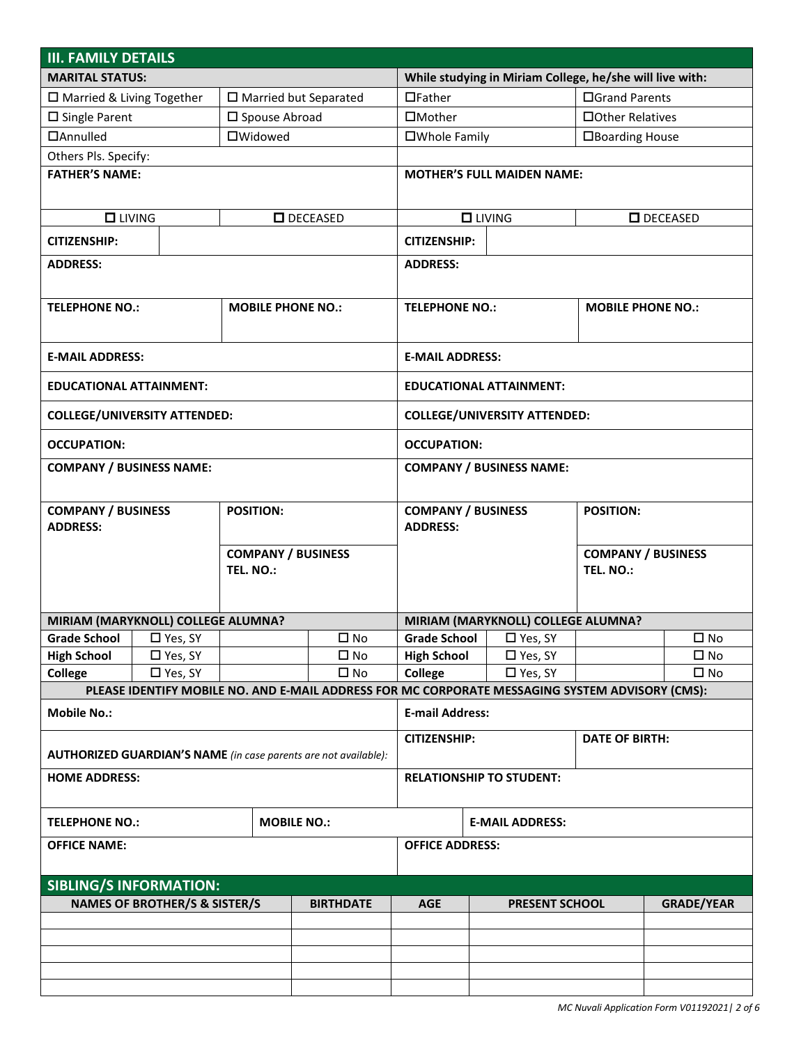| <b>III. FAMILY DETAILS</b>                                   |                |                        |                                                                                                 |                                               |                                    |                                     |                          |              |
|--------------------------------------------------------------|----------------|------------------------|-------------------------------------------------------------------------------------------------|-----------------------------------------------|------------------------------------|-------------------------------------|--------------------------|--------------|
| <b>MARITAL STATUS:</b>                                       |                |                        | While studying in Miriam College, he/she will live with:                                        |                                               |                                    |                                     |                          |              |
| □ Married & Living Together                                  |                |                        | □ Married but Separated                                                                         | $\Box$ Father                                 |                                    | □Grand Parents                      |                          |              |
| $\square$ Single Parent                                      |                | □ Spouse Abroad        |                                                                                                 | □Mother                                       |                                    | □ Other Relatives                   |                          |              |
| <b>DAnnulled</b>                                             |                | <b>OWidowed</b>        |                                                                                                 |                                               | □Whole Family                      |                                     | □Boarding House          |              |
| Others Pls. Specify:                                         |                |                        |                                                                                                 |                                               |                                    |                                     |                          |              |
| <b>FATHER'S NAME:</b>                                        |                |                        |                                                                                                 |                                               |                                    | <b>MOTHER'S FULL MAIDEN NAME:</b>   |                          |              |
|                                                              |                |                        |                                                                                                 |                                               |                                    |                                     |                          |              |
| $\Box$ LIVING                                                |                |                        | $\Box$ DECEASED                                                                                 |                                               | $\Box$ LIVING                      |                                     | $\Box$ DECEASED          |              |
| <b>CITIZENSHIP:</b>                                          |                |                        |                                                                                                 | <b>CITIZENSHIP:</b>                           |                                    |                                     |                          |              |
| <b>ADDRESS:</b>                                              |                |                        |                                                                                                 | <b>ADDRESS:</b>                               |                                    |                                     |                          |              |
|                                                              |                |                        |                                                                                                 |                                               |                                    |                                     |                          |              |
|                                                              |                |                        |                                                                                                 |                                               |                                    |                                     |                          |              |
| <b>TELEPHONE NO.:</b>                                        |                |                        | <b>MOBILE PHONE NO.:</b>                                                                        | <b>TELEPHONE NO.:</b>                         |                                    |                                     | <b>MOBILE PHONE NO.:</b> |              |
|                                                              |                |                        |                                                                                                 |                                               |                                    |                                     |                          |              |
| <b>E-MAIL ADDRESS:</b>                                       |                |                        |                                                                                                 | <b>E-MAIL ADDRESS:</b>                        |                                    |                                     |                          |              |
| <b>EDUCATIONAL ATTAINMENT:</b>                               |                |                        |                                                                                                 |                                               |                                    | <b>EDUCATIONAL ATTAINMENT:</b>      |                          |              |
| <b>COLLEGE/UNIVERSITY ATTENDED:</b>                          |                |                        |                                                                                                 |                                               |                                    | <b>COLLEGE/UNIVERSITY ATTENDED:</b> |                          |              |
| <b>OCCUPATION:</b>                                           |                |                        |                                                                                                 | <b>OCCUPATION:</b>                            |                                    |                                     |                          |              |
| <b>COMPANY / BUSINESS NAME:</b>                              |                |                        |                                                                                                 |                                               |                                    | <b>COMPANY / BUSINESS NAME:</b>     |                          |              |
|                                                              |                |                        |                                                                                                 |                                               |                                    |                                     |                          |              |
| <b>COMPANY / BUSINESS</b>                                    |                | <b>POSITION:</b>       |                                                                                                 | <b>COMPANY / BUSINESS</b><br><b>POSITION:</b> |                                    |                                     |                          |              |
| <b>ADDRESS:</b>                                              |                | <b>ADDRESS:</b>        |                                                                                                 |                                               |                                    |                                     |                          |              |
| <b>COMPANY / BUSINESS</b>                                    |                |                        |                                                                                                 |                                               |                                    | <b>COMPANY / BUSINESS</b>           |                          |              |
|                                                              |                | TEL. NO.:              |                                                                                                 |                                               |                                    |                                     | TEL. NO.:                |              |
|                                                              |                |                        |                                                                                                 |                                               |                                    |                                     |                          |              |
| MIRIAM (MARYKNOLL) COLLEGE ALUMNA?                           |                |                        |                                                                                                 |                                               | MIRIAM (MARYKNOLL) COLLEGE ALUMNA? |                                     |                          |              |
| Grade School   □ Yes, SY                                     |                |                        | $\square$ No                                                                                    | Grade School                                  |                                    | □ Yes, SY                           |                          | $\square$ No |
| <b>High School</b>                                           | $\Box$ Yes, SY |                        | $\square$ No                                                                                    | <b>High School</b>                            |                                    | $\square$ Yes, SY                   |                          | $\square$ No |
| <b>College</b>                                               | □ Yes, SY      |                        | $\square$ No                                                                                    | <b>College</b>                                |                                    | □ Yes, SY                           |                          | $\square$ No |
|                                                              |                |                        | PLEASE IDENTIFY MOBILE NO. AND E-MAIL ADDRESS FOR MC CORPORATE MESSAGING SYSTEM ADVISORY (CMS): |                                               |                                    |                                     |                          |              |
| <b>Mobile No.:</b>                                           |                |                        |                                                                                                 | <b>E-mail Address:</b>                        |                                    |                                     |                          |              |
|                                                              |                |                        |                                                                                                 | <b>CITIZENSHIP:</b>                           |                                    |                                     | <b>DATE OF BIRTH:</b>    |              |
|                                                              |                |                        | <b>AUTHORIZED GUARDIAN'S NAME</b> (in case parents are not available):                          |                                               |                                    |                                     |                          |              |
| <b>HOME ADDRESS:</b>                                         |                |                        |                                                                                                 | <b>RELATIONSHIP TO STUDENT:</b>               |                                    |                                     |                          |              |
|                                                              |                |                        |                                                                                                 |                                               |                                    |                                     |                          |              |
| <b>TELEPHONE NO.:</b><br><b>MOBILE NO.:</b>                  |                | <b>E-MAIL ADDRESS:</b> |                                                                                                 |                                               |                                    |                                     |                          |              |
| <b>OFFICE NAME:</b>                                          |                | <b>OFFICE ADDRESS:</b> |                                                                                                 |                                               |                                    |                                     |                          |              |
|                                                              |                |                        |                                                                                                 |                                               |                                    |                                     |                          |              |
| <b>SIBLING/S INFORMATION:</b>                                |                |                        |                                                                                                 |                                               |                                    |                                     |                          |              |
| <b>NAMES OF BROTHER/S &amp; SISTER/S</b><br><b>BIRTHDATE</b> |                |                        | <b>AGE</b>                                                                                      |                                               | <b>PRESENT SCHOOL</b>              |                                     | <b>GRADE/YEAR</b>        |              |
|                                                              |                |                        |                                                                                                 |                                               |                                    |                                     |                          |              |
|                                                              |                |                        |                                                                                                 |                                               |                                    |                                     |                          |              |
|                                                              |                |                        |                                                                                                 |                                               |                                    |                                     |                          |              |
|                                                              |                |                        |                                                                                                 |                                               |                                    |                                     |                          |              |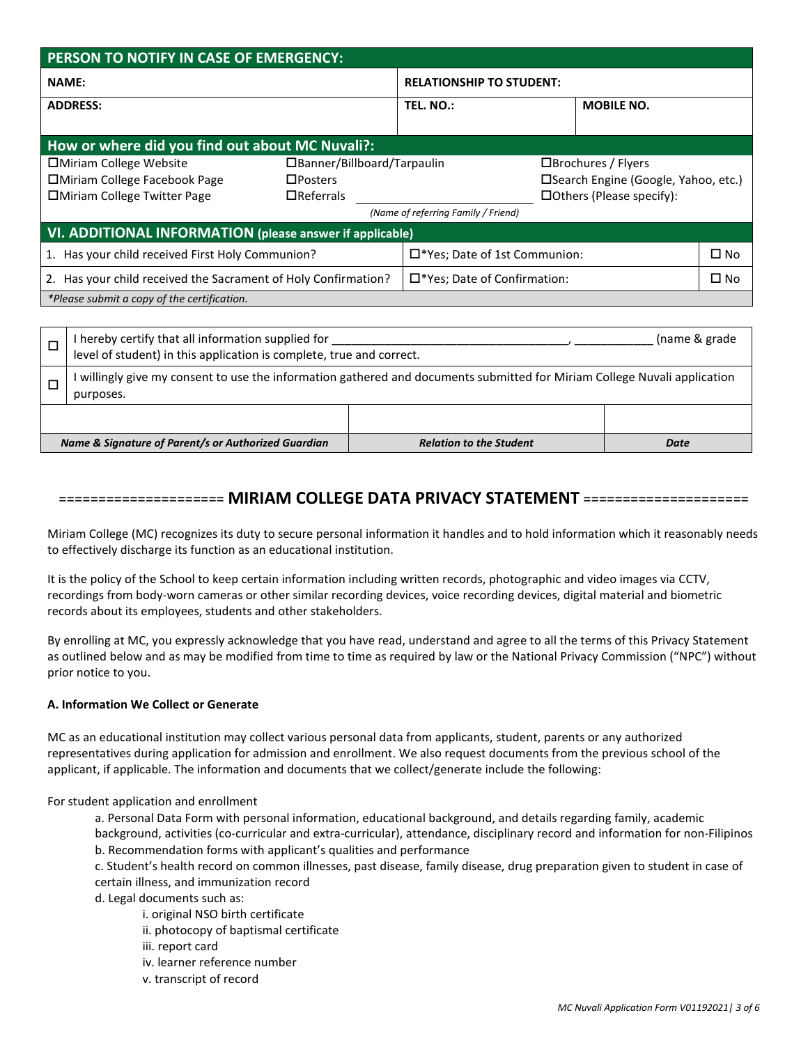| PERSON TO NOTIFY IN CASE OF EMERGENCY:                          |                                                    |                                     |                                       |                                       |              |  |
|-----------------------------------------------------------------|----------------------------------------------------|-------------------------------------|---------------------------------------|---------------------------------------|--------------|--|
| <b>NAME:</b>                                                    |                                                    |                                     | <b>RELATIONSHIP TO STUDENT:</b>       |                                       |              |  |
| <b>ADDRESS:</b>                                                 |                                                    | TEL. NO.:                           |                                       | <b>MOBILE NO.</b>                     |              |  |
|                                                                 |                                                    |                                     |                                       |                                       |              |  |
| How or where did you find out about MC Nuvali?:                 |                                                    |                                     |                                       |                                       |              |  |
| □ Miriam College Website                                        | □Banner/Billboard/Tarpaulin<br>□Brochures / Flyers |                                     |                                       |                                       |              |  |
| □Miriam College Facebook Page                                   | $\Box$ Posters                                     |                                     |                                       | □ Search Engine (Google, Yahoo, etc.) |              |  |
| <b>IDMiriam College Twitter Page</b>                            | $\Box$ Referrals                                   |                                     |                                       | $\Box$ Others (Please specify):       |              |  |
|                                                                 |                                                    | (Name of referring Family / Friend) |                                       |                                       |              |  |
| <b>VI. ADDITIONAL INFORMATION</b> (please answer if applicable) |                                                    |                                     |                                       |                                       |              |  |
| 1. Has your child received First Holy Communion?                |                                                    |                                     | □*Yes; Date of 1st Communion:         |                                       | $\square$ No |  |
| 2. Has your child received the Sacrament of Holy Confirmation?  |                                                    |                                     | $\square$ *Yes; Date of Confirmation: |                                       | $\Box$ No    |  |
| *Please submit a copy of the certification.                     |                                                    |                                     |                                       |                                       |              |  |

| I hereby certify that all information supplied for<br>(name & grade)<br>level of student) in this application is complete, true and correct. |                                |      |  |  |
|----------------------------------------------------------------------------------------------------------------------------------------------|--------------------------------|------|--|--|
| I willingly give my consent to use the information gathered and documents submitted for Miriam College Nuvali application<br>purposes.       |                                |      |  |  |
|                                                                                                                                              |                                |      |  |  |
| Name & Signature of Parent/s or Authorized Guardian                                                                                          | <b>Relation to the Student</b> | Date |  |  |

# ===================== **MIRIAM COLLEGE DATA PRIVACY STATEMENT** =====================

Miriam College (MC) recognizes its duty to secure personal information it handles and to hold information which it reasonably needs to effectively discharge its function as an educational institution.

It is the policy of the School to keep certain information including written records, photographic and video images via CCTV, recordings from body-worn cameras or other similar recording devices, voice recording devices, digital material and biometric records about its employees, students and other stakeholders.

By enrolling at MC, you expressly acknowledge that you have read, understand and agree to all the terms of this Privacy Statement as outlined below and as may be modified from time to time as required by law or the National Privacy Commission ("NPC") without prior notice to you.

# **A. Information We Collect or Generate**

MC as an educational institution may collect various personal data from applicants, student, parents or any authorized representatives during application for admission and enrollment. We also request documents from the previous school of the applicant, if applicable. The information and documents that we collect/generate include the following:

For student application and enrollment

a. Personal Data Form with personal information, educational background, and details regarding family, academic background, activities (co-curricular and extra-curricular), attendance, disciplinary record and information for non-Filipinos b. Recommendation forms with applicant's qualities and performance

c. Student's health record on common illnesses, past disease, family disease, drug preparation given to student in case of certain illness, and immunization record

d. Legal documents such as:

- i. original NSO birth certificate
- ii. photocopy of baptismal certificate
- iii. report card
- iv. learner reference number
- v. transcript of record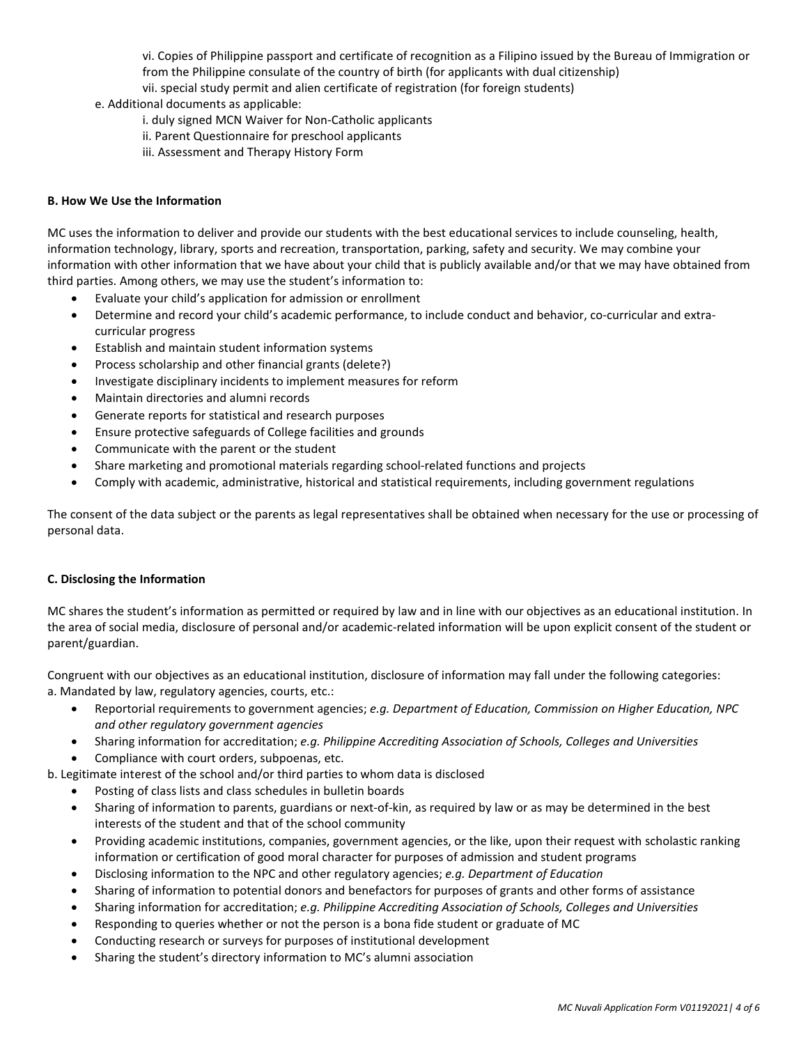vi. Copies of Philippine passport and certificate of recognition as a Filipino issued by the Bureau of Immigration or from the Philippine consulate of the country of birth (for applicants with dual citizenship)

vii. special study permit and alien certificate of registration (for foreign students)

e. Additional documents as applicable:

- i. duly signed MCN Waiver for Non-Catholic applicants
- ii. Parent Questionnaire for preschool applicants
- iii. Assessment and Therapy History Form

#### **B. How We Use the Information**

MC uses the information to deliver and provide our students with the best educational services to include counseling, health, information technology, library, sports and recreation, transportation, parking, safety and security. We may combine your information with other information that we have about your child that is publicly available and/or that we may have obtained from third parties. Among others, we may use the student's information to:

- Evaluate your child's application for admission or enrollment
- Determine and record your child's academic performance, to include conduct and behavior, co-curricular and extracurricular progress
- Establish and maintain student information systems
- Process scholarship and other financial grants (delete?)
- Investigate disciplinary incidents to implement measures for reform
- Maintain directories and alumni records
- Generate reports for statistical and research purposes
- Ensure protective safeguards of College facilities and grounds
- Communicate with the parent or the student
- Share marketing and promotional materials regarding school-related functions and projects
- Comply with academic, administrative, historical and statistical requirements, including government regulations

The consent of the data subject or the parents as legal representatives shall be obtained when necessary for the use or processing of personal data.

#### **C. Disclosing the Information**

MC shares the student's information as permitted or required by law and in line with our objectives as an educational institution. In the area of social media, disclosure of personal and/or academic-related information will be upon explicit consent of the student or parent/guardian.

Congruent with our objectives as an educational institution, disclosure of information may fall under the following categories: a. Mandated by law, regulatory agencies, courts, etc.:

- Reportorial requirements to government agencies; *e.g. Department of Education, Commission on Higher Education, NPC and other regulatory government agencies*
- Sharing information for accreditation; *e.g. Philippine Accrediting Association of Schools, Colleges and Universities*
- Compliance with court orders, subpoenas, etc.
- b. Legitimate interest of the school and/or third parties to whom data is disclosed
	- Posting of class lists and class schedules in bulletin boards
	- Sharing of information to parents, guardians or next-of-kin, as required by law or as may be determined in the best interests of the student and that of the school community
	- Providing academic institutions, companies, government agencies, or the like, upon their request with scholastic ranking information or certification of good moral character for purposes of admission and student programs
	- Disclosing information to the NPC and other regulatory agencies; *e.g. Department of Education*
	- Sharing of information to potential donors and benefactors for purposes of grants and other forms of assistance
	- Sharing information for accreditation; *e.g. Philippine Accrediting Association of Schools, Colleges and Universities*
	- Responding to queries whether or not the person is a bona fide student or graduate of MC
	- Conducting research or surveys for purposes of institutional development
	- Sharing the student's directory information to MC's alumni association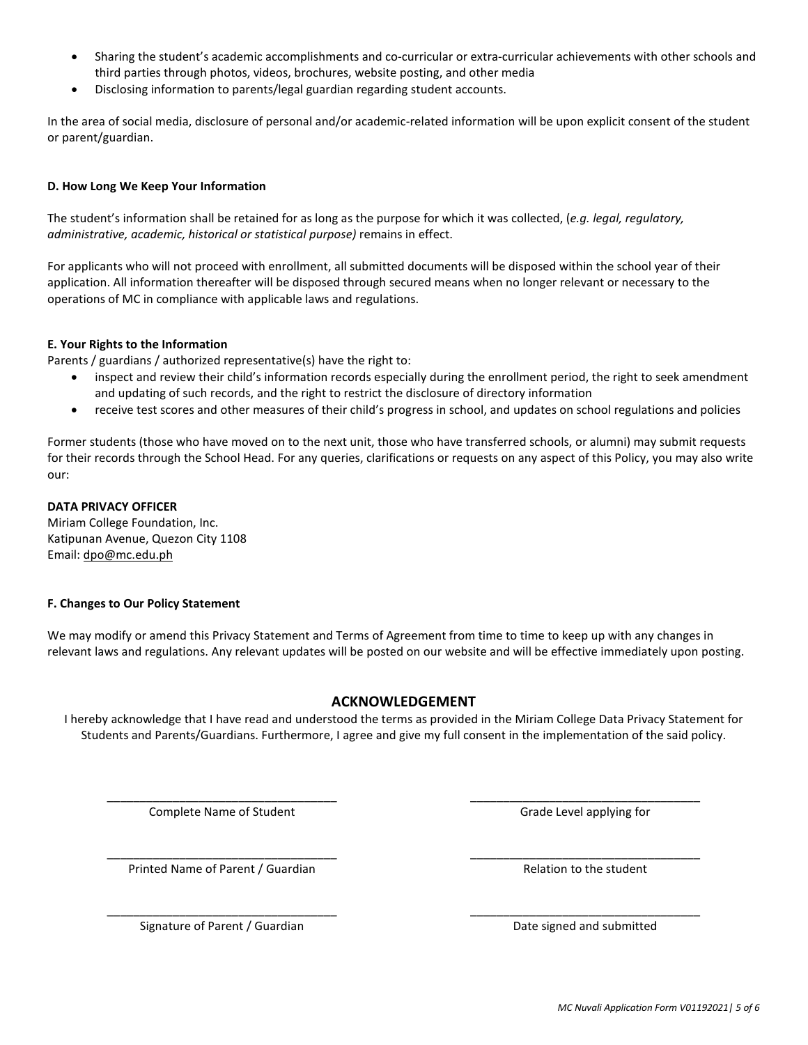- Sharing the student's academic accomplishments and co-curricular or extra-curricular achievements with other schools and third parties through photos, videos, brochures, website posting, and other media
- Disclosing information to parents/legal guardian regarding student accounts.

In the area of social media, disclosure of personal and/or academic-related information will be upon explicit consent of the student or parent/guardian.

## **D. How Long We Keep Your Information**

The student's information shall be retained for as long as the purpose for which it was collected, (*e.g. legal, regulatory, administrative, academic, historical or statistical purpose)* remains in effect.

For applicants who will not proceed with enrollment, all submitted documents will be disposed within the school year of their application. All information thereafter will be disposed through secured means when no longer relevant or necessary to the operations of MC in compliance with applicable laws and regulations.

### **E. Your Rights to the Information**

Parents / guardians / authorized representative(s) have the right to:

- inspect and review their child's information records especially during the enrollment period, the right to seek amendment and updating of such records, and the right to restrict the disclosure of directory information
- receive test scores and other measures of their child's progress in school, and updates on school regulations and policies

Former students (those who have moved on to the next unit, those who have transferred schools, or alumni) may submit requests for their records through the School Head. For any queries, clarifications or requests on any aspect of this Policy, you may also write our:

#### **DATA PRIVACY OFFICER**

Miriam College Foundation, Inc. Katipunan Avenue, Quezon City 1108 Email: dpo@mc.edu.ph

#### **F. Changes to Our Policy Statement**

We may modify or amend this Privacy Statement and Terms of Agreement from time to time to keep up with any changes in relevant laws and regulations. Any relevant updates will be posted on our website and will be effective immediately upon posting.

# **ACKNOWLEDGEMENT**

I hereby acknowledge that I have read and understood the terms as provided in the Miriam College Data Privacy Statement for Students and Parents/Guardians. Furthermore, I agree and give my full consent in the implementation of the said policy.

\_\_\_\_\_\_\_\_\_\_\_\_\_\_\_\_\_\_\_\_\_\_\_\_\_\_\_\_\_\_\_\_\_\_\_ \_\_\_\_\_\_\_\_\_\_\_\_\_\_\_\_\_\_\_\_\_\_\_\_\_\_\_\_\_\_\_\_\_\_\_

\_\_\_\_\_\_\_\_\_\_\_\_\_\_\_\_\_\_\_\_\_\_\_\_\_\_\_\_\_\_\_\_\_\_\_ \_\_\_\_\_\_\_\_\_\_\_\_\_\_\_\_\_\_\_\_\_\_\_\_\_\_\_\_\_\_\_\_\_\_\_

\_\_\_\_\_\_\_\_\_\_\_\_\_\_\_\_\_\_\_\_\_\_\_\_\_\_\_\_\_\_\_\_\_\_\_ \_\_\_\_\_\_\_\_\_\_\_\_\_\_\_\_\_\_\_\_\_\_\_\_\_\_\_\_\_\_\_\_\_\_\_

Complete Name of Student Grade Level applying for Grade Level applying for

Printed Name of Parent / Guardian Relation to the student

Signature of Parent / Guardian Date signed and submitted